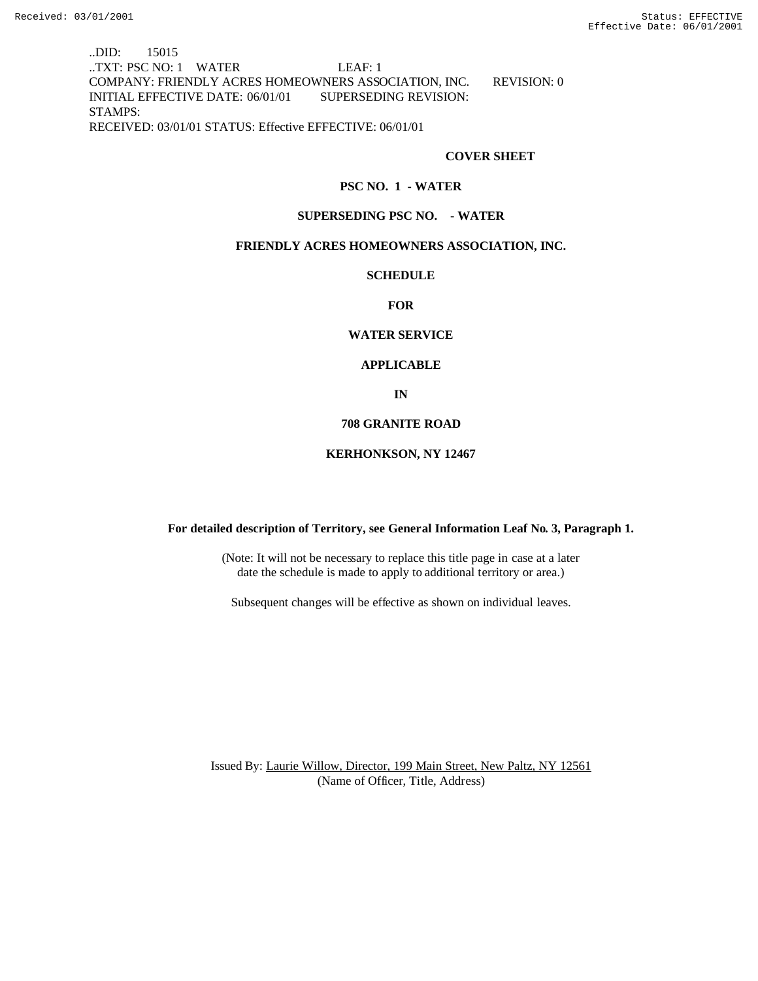..DID: 15015 ..TXT: PSC NO: 1 WATER LEAF: 1 COMPANY: FRIENDLY ACRES HOMEOWNERS ASSOCIATION, INC. REVISION: 0 INITIAL EFFECTIVE DATE: 06/01/01 SUPERSEDING REVISION: STAMPS: RECEIVED: 03/01/01 STATUS: Effective EFFECTIVE: 06/01/01

#### **COVER SHEET**

#### **PSC NO. 1 - WATER**

#### **SUPERSEDING PSC NO. - WATER**

## **FRIENDLY ACRES HOMEOWNERS ASSOCIATION, INC.**

#### **SCHEDULE**

#### **FOR**

## **WATER SERVICE**

# **APPLICABLE**

**IN**

#### **708 GRANITE ROAD**

#### **KERHONKSON, NY 12467**

## **For detailed description of Territory, see General Information Leaf No. 3, Paragraph 1.**

(Note: It will not be necessary to replace this title page in case at a later date the schedule is made to apply to additional territory or area.)

Subsequent changes will be effective as shown on individual leaves.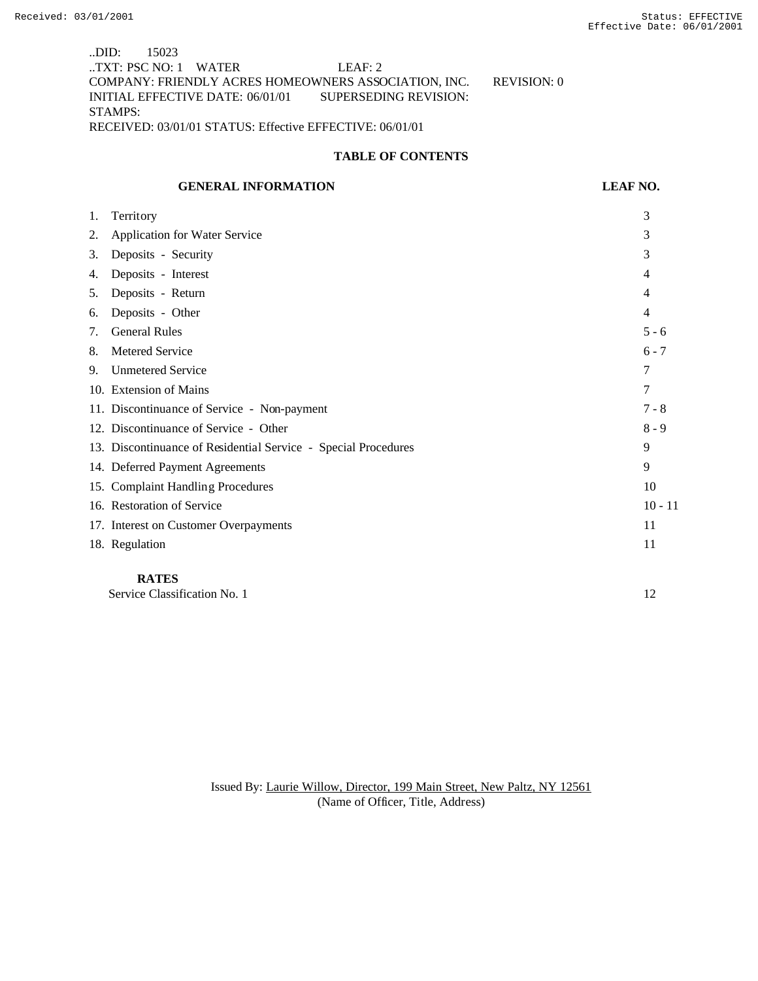..DID: 15023 ..TXT: PSC NO: 1 WATER LEAF: 2 COMPANY: FRIENDLY ACRES HOMEOWNERS ASSOCIATION, INC. REVISION: 0 INITIAL EFFECTIVE DATE: 06/01/01 SUPERSEDING REVISION: STAMPS: RECEIVED: 03/01/01 STATUS: Effective EFFECTIVE: 06/01/01

## **TABLE OF CONTENTS**

#### **GENERAL INFORMATION LEAF NO.**

| 1. | Territory                                                      | 3         |
|----|----------------------------------------------------------------|-----------|
| 2. | <b>Application for Water Service</b>                           | 3         |
| 3. | Deposits - Security                                            | 3         |
| 4. | Deposits - Interest                                            | 4         |
| 5. | Deposits - Return                                              | 4         |
| 6. | Deposits - Other                                               | 4         |
| 7. | <b>General Rules</b>                                           | $5 - 6$   |
| 8. | Metered Service                                                | $6 - 7$   |
| 9. | <b>Unmetered Service</b>                                       | 7         |
|    | 10. Extension of Mains                                         | 7         |
|    | 11. Discontinuance of Service - Non-payment                    | $7 - 8$   |
|    | 12. Discontinuance of Service - Other                          | $8 - 9$   |
|    | 13. Discontinuance of Residential Service - Special Procedures | 9         |
|    | 14. Deferred Payment Agreements                                | 9         |
|    | 15. Complaint Handling Procedures                              | 10        |
|    | 16. Restoration of Service                                     | $10 - 11$ |
|    | 17. Interest on Customer Overpayments                          | 11        |
|    | 18. Regulation                                                 | 11        |
|    |                                                                |           |

# **RATES**

Service Classification No. 1 12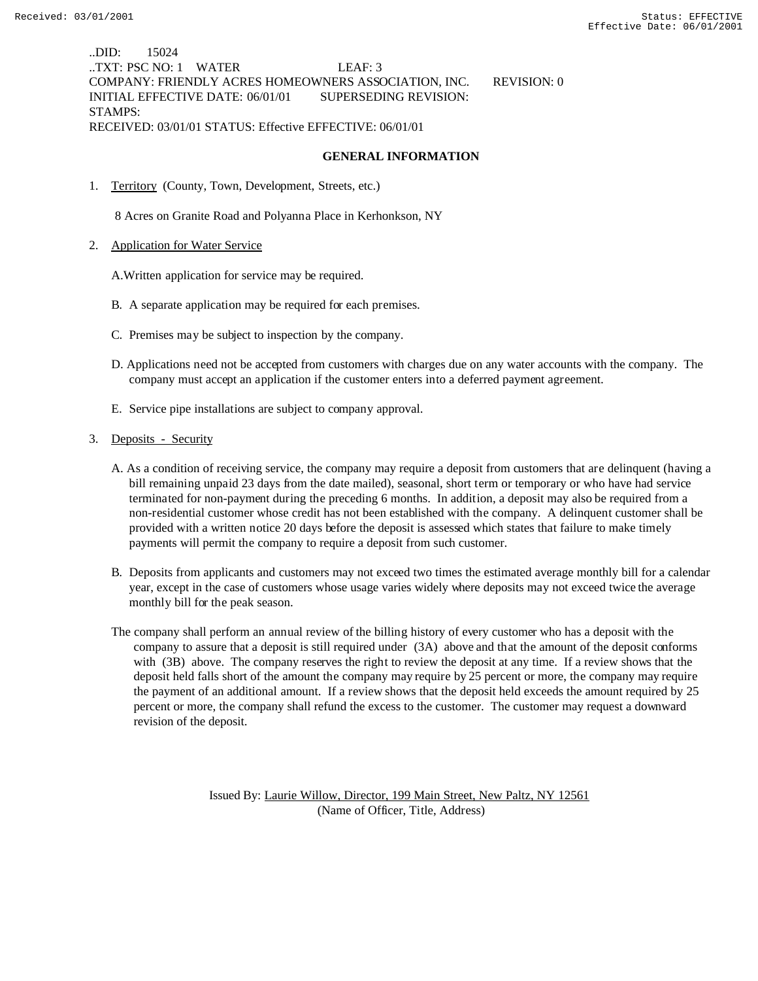..DID: 15024 ..TXT: PSC NO: 1 WATER LEAF: 3 COMPANY: FRIENDLY ACRES HOMEOWNERS ASSOCIATION, INC. REVISION: 0 INITIAL EFFECTIVE DATE: 06/01/01 SUPERSEDING REVISION: STAMPS: RECEIVED: 03/01/01 STATUS: Effective EFFECTIVE: 06/01/01

## **GENERAL INFORMATION**

1. Territory (County, Town, Development, Streets, etc.)

8 Acres on Granite Road and Polyanna Place in Kerhonkson, NY

2. Application for Water Service

A.Written application for service may be required.

- B. A separate application may be required for each premises.
- C. Premises may be subject to inspection by the company.
- D. Applications need not be accepted from customers with charges due on any water accounts with the company. The company must accept an application if the customer enters into a deferred payment agreement.
- E. Service pipe installations are subject to company approval.
- 3. Deposits Security
	- A. As a condition of receiving service, the company may require a deposit from customers that are delinquent (having a bill remaining unpaid 23 days from the date mailed), seasonal, short term or temporary or who have had service terminated for non-payment during the preceding 6 months. In addition, a deposit may also be required from a non-residential customer whose credit has not been established with the company. A delinquent customer shall be provided with a written notice 20 days before the deposit is assessed which states that failure to make timely payments will permit the company to require a deposit from such customer.
	- B. Deposits from applicants and customers may not exceed two times the estimated average monthly bill for a calendar year, except in the case of customers whose usage varies widely where deposits may not exceed twice the average monthly bill for the peak season.
	- The company shall perform an annual review of the billing history of every customer who has a deposit with the company to assure that a deposit is still required under (3A) above and that the amount of the deposit conforms with (3B) above. The company reserves the right to review the deposit at any time. If a review shows that the deposit held falls short of the amount the company may require by 25 percent or more, the company may require the payment of an additional amount. If a review shows that the deposit held exceeds the amount required by 25 percent or more, the company shall refund the excess to the customer. The customer may request a downward revision of the deposit.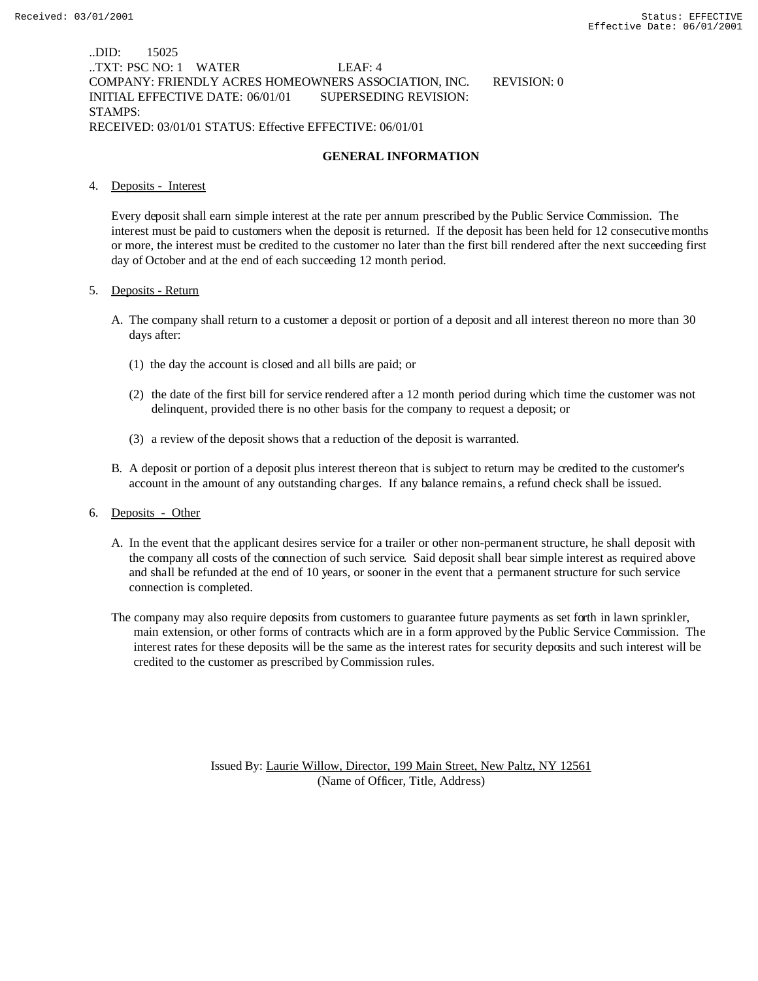## ..DID: 15025 ..TXT: PSC NO: 1 WATER LEAF: 4 COMPANY: FRIENDLY ACRES HOMEOWNERS ASSOCIATION, INC. REVISION: 0 INITIAL EFFECTIVE DATE: 06/01/01 SUPERSEDING REVISION: STAMPS: RECEIVED: 03/01/01 STATUS: Effective EFFECTIVE: 06/01/01

# **GENERAL INFORMATION**

#### 4. Deposits - Interest

Every deposit shall earn simple interest at the rate per annum prescribed by the Public Service Commission. The interest must be paid to customers when the deposit is returned. If the deposit has been held for 12 consecutive months or more, the interest must be credited to the customer no later than the first bill rendered after the next succeeding first day of October and at the end of each succeeding 12 month period.

#### 5. Deposits - Return

- A. The company shall return to a customer a deposit or portion of a deposit and all interest thereon no more than 30 days after:
	- (1) the day the account is closed and all bills are paid; or
	- (2) the date of the first bill for service rendered after a 12 month period during which time the customer was not delinquent, provided there is no other basis for the company to request a deposit; or
	- (3) a review of the deposit shows that a reduction of the deposit is warranted.
- B. A deposit or portion of a deposit plus interest thereon that is subject to return may be credited to the customer's account in the amount of any outstanding charges. If any balance remains, a refund check shall be issued.

## 6. Deposits - Other

- A. In the event that the applicant desires service for a trailer or other non-permanent structure, he shall deposit with the company all costs of the connection of such service. Said deposit shall bear simple interest as required above and shall be refunded at the end of 10 years, or sooner in the event that a permanent structure for such service connection is completed.
- The company may also require deposits from customers to guarantee future payments as set forth in lawn sprinkler, main extension, or other forms of contracts which are in a form approved by the Public Service Commission. The interest rates for these deposits will be the same as the interest rates for security deposits and such interest will be credited to the customer as prescribed by Commission rules.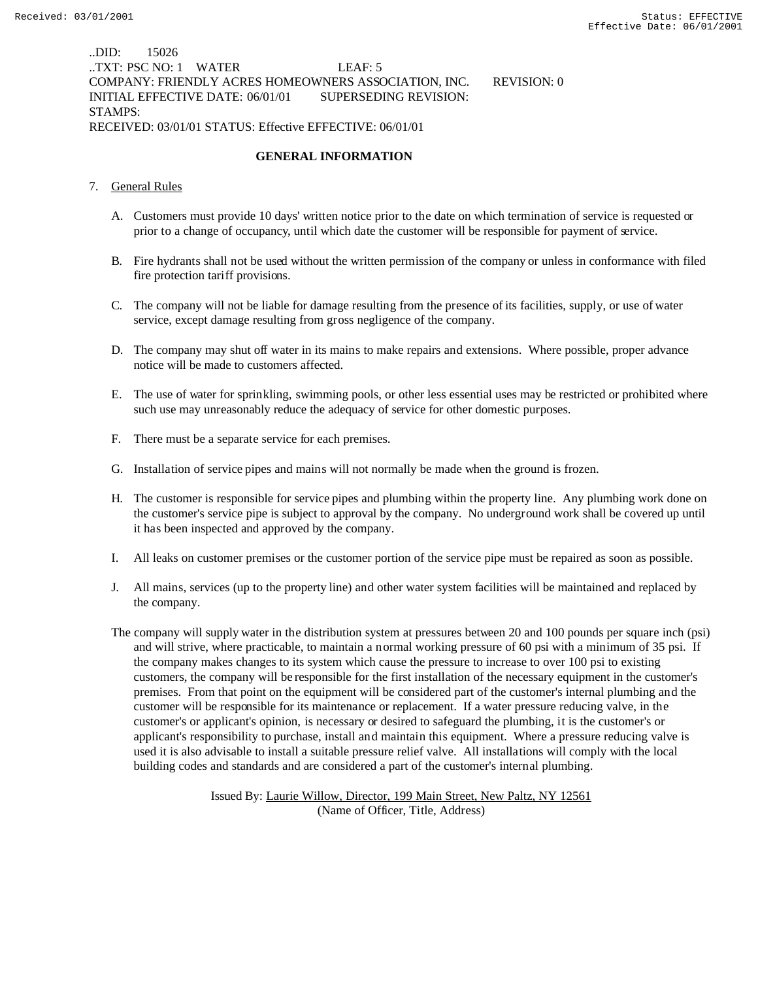## ..DID: 15026 ..TXT: PSC NO: 1 WATER LEAF: 5 COMPANY: FRIENDLY ACRES HOMEOWNERS ASSOCIATION, INC. REVISION: 0 INITIAL EFFECTIVE DATE: 06/01/01 SUPERSEDING REVISION: STAMPS: RECEIVED: 03/01/01 STATUS: Effective EFFECTIVE: 06/01/01

# **GENERAL INFORMATION**

## 7. General Rules

- A. Customers must provide 10 days' written notice prior to the date on which termination of service is requested or prior to a change of occupancy, until which date the customer will be responsible for payment of service.
- B. Fire hydrants shall not be used without the written permission of the company or unless in conformance with filed fire protection tariff provisions.
- C. The company will not be liable for damage resulting from the presence of its facilities, supply, or use of water service, except damage resulting from gross negligence of the company.
- D. The company may shut off water in its mains to make repairs and extensions. Where possible, proper advance notice will be made to customers affected.
- E. The use of water for sprinkling, swimming pools, or other less essential uses may be restricted or prohibited where such use may unreasonably reduce the adequacy of service for other domestic purposes.
- F. There must be a separate service for each premises.
- G. Installation of service pipes and mains will not normally be made when the ground is frozen.
- H. The customer is responsible for service pipes and plumbing within the property line. Any plumbing work done on the customer's service pipe is subject to approval by the company. No underground work shall be covered up until it has been inspected and approved by the company.
- I. All leaks on customer premises or the customer portion of the service pipe must be repaired as soon as possible.
- J. All mains, services (up to the property line) and other water system facilities will be maintained and replaced by the company.
- The company will supply water in the distribution system at pressures between 20 and 100 pounds per square inch (psi) and will strive, where practicable, to maintain a normal working pressure of 60 psi with a minimum of 35 psi. If the company makes changes to its system which cause the pressure to increase to over 100 psi to existing customers, the company will be responsible for the first installation of the necessary equipment in the customer's premises. From that point on the equipment will be considered part of the customer's internal plumbing and the customer will be responsible for its maintenance or replacement. If a water pressure reducing valve, in the customer's or applicant's opinion, is necessary or desired to safeguard the plumbing, it is the customer's or applicant's responsibility to purchase, install and maintain this equipment. Where a pressure reducing valve is used it is also advisable to install a suitable pressure relief valve. All installations will comply with the local building codes and standards and are considered a part of the customer's internal plumbing.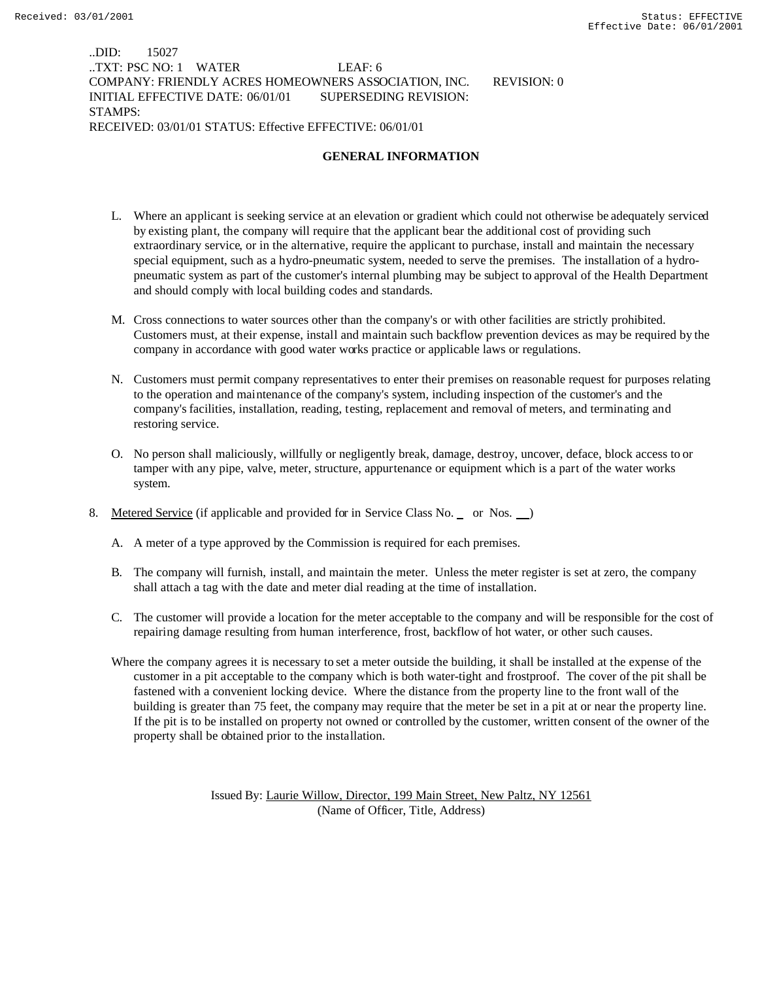## ..DID: 15027 ..TXT: PSC NO: 1 WATER LEAF: 6 COMPANY: FRIENDLY ACRES HOMEOWNERS ASSOCIATION, INC. REVISION: 0 INITIAL EFFECTIVE DATE: 06/01/01 SUPERSEDING REVISION: STAMPS: RECEIVED: 03/01/01 STATUS: Effective EFFECTIVE: 06/01/01

# **GENERAL INFORMATION**

- L. Where an applicant is seeking service at an elevation or gradient which could not otherwise be adequately serviced by existing plant, the company will require that the applicant bear the additional cost of providing such extraordinary service, or in the alternative, require the applicant to purchase, install and maintain the necessary special equipment, such as a hydro-pneumatic system, needed to serve the premises. The installation of a hydropneumatic system as part of the customer's internal plumbing may be subject to approval of the Health Department and should comply with local building codes and standards.
- M. Cross connections to water sources other than the company's or with other facilities are strictly prohibited. Customers must, at their expense, install and maintain such backflow prevention devices as may be required by the company in accordance with good water works practice or applicable laws or regulations.
- N. Customers must permit company representatives to enter their premises on reasonable request for purposes relating to the operation and maintenance of the company's system, including inspection of the customer's and the company's facilities, installation, reading, testing, replacement and removal of meters, and terminating and restoring service.
- O. No person shall maliciously, willfully or negligently break, damage, destroy, uncover, deface, block access to or tamper with any pipe, valve, meter, structure, appurtenance or equipment which is a part of the water works system.
- 8. Metered Service (if applicable and provided for in Service Class No. or Nos. )
	- A. A meter of a type approved by the Commission is required for each premises.
	- B. The company will furnish, install, and maintain the meter. Unless the meter register is set at zero, the company shall attach a tag with the date and meter dial reading at the time of installation.
	- C. The customer will provide a location for the meter acceptable to the company and will be responsible for the cost of repairing damage resulting from human interference, frost, backflow of hot water, or other such causes.
	- Where the company agrees it is necessary to set a meter outside the building, it shall be installed at the expense of the customer in a pit acceptable to the company which is both water-tight and frostproof. The cover of the pit shall be fastened with a convenient locking device. Where the distance from the property line to the front wall of the building is greater than 75 feet, the company may require that the meter be set in a pit at or near the property line. If the pit is to be installed on property not owned or controlled by the customer, written consent of the owner of the property shall be obtained prior to the installation.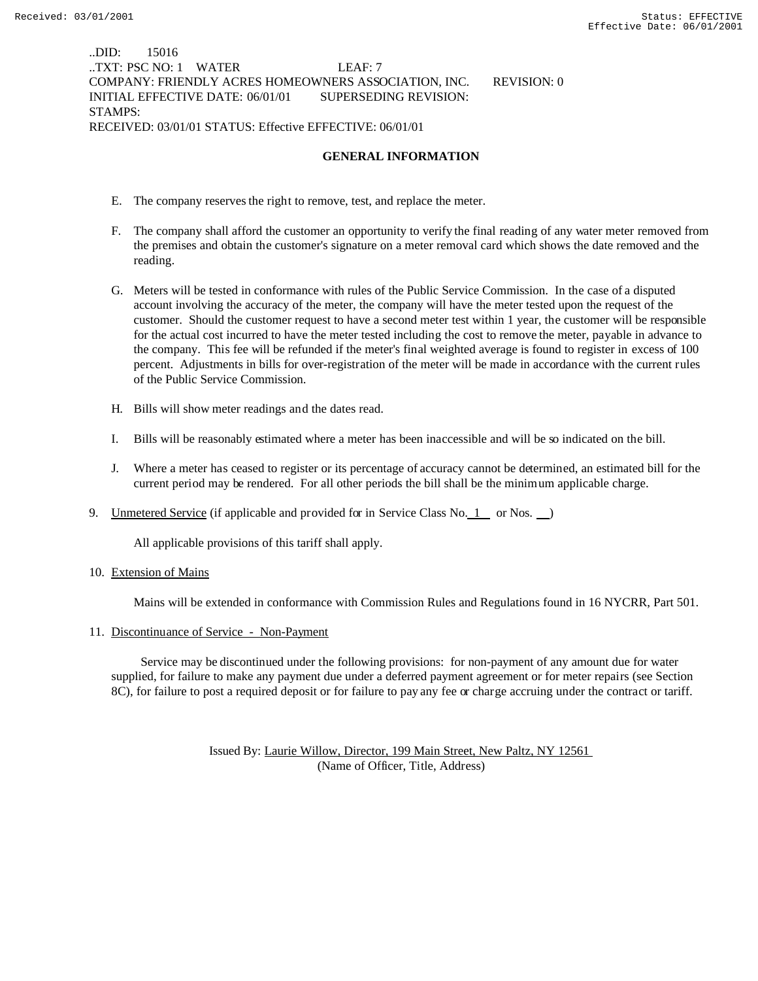## ..DID: 15016 ..TXT: PSC NO: 1 WATER LEAF: 7 COMPANY: FRIENDLY ACRES HOMEOWNERS ASSOCIATION, INC. REVISION: 0 INITIAL EFFECTIVE DATE: 06/01/01 SUPERSEDING REVISION: STAMPS: RECEIVED: 03/01/01 STATUS: Effective EFFECTIVE: 06/01/01

## **GENERAL INFORMATION**

- E. The company reserves the right to remove, test, and replace the meter.
- F. The company shall afford the customer an opportunity to verify the final reading of any water meter removed from the premises and obtain the customer's signature on a meter removal card which shows the date removed and the reading.
- G. Meters will be tested in conformance with rules of the Public Service Commission. In the case of a disputed account involving the accuracy of the meter, the company will have the meter tested upon the request of the customer. Should the customer request to have a second meter test within 1 year, the customer will be responsible for the actual cost incurred to have the meter tested including the cost to remove the meter, payable in advance to the company. This fee will be refunded if the meter's final weighted average is found to register in excess of 100 percent. Adjustments in bills for over-registration of the meter will be made in accordance with the current rules of the Public Service Commission.
- H. Bills will show meter readings and the dates read.
- I. Bills will be reasonably estimated where a meter has been inaccessible and will be so indicated on the bill.
- J. Where a meter has ceased to register or its percentage of accuracy cannot be determined, an estimated bill for the current period may be rendered. For all other periods the bill shall be the minimum applicable charge.
- 9. Unmetered Service (if applicable and provided for in Service Class No. 1 or Nos. )

All applicable provisions of this tariff shall apply.

## 10. Extension of Mains

Mains will be extended in conformance with Commission Rules and Regulations found in 16 NYCRR, Part 501.

#### 11. Discontinuance of Service - Non-Payment

 Service may be discontinued under the following provisions: for non-payment of any amount due for water supplied, for failure to make any payment due under a deferred payment agreement or for meter repairs (see Section 8C), for failure to post a required deposit or for failure to pay any fee or charge accruing under the contract or tariff.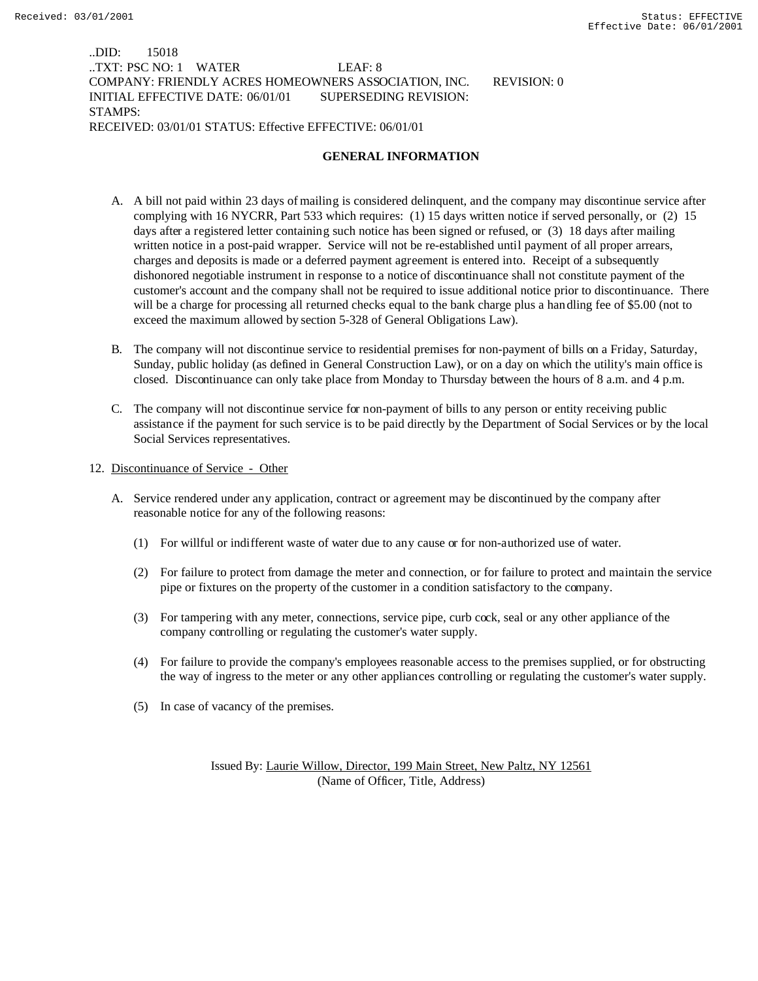## ..DID: 15018 ..TXT: PSC NO: 1 WATER LEAF: 8 COMPANY: FRIENDLY ACRES HOMEOWNERS ASSOCIATION, INC. REVISION: 0 INITIAL EFFECTIVE DATE: 06/01/01 SUPERSEDING REVISION: STAMPS: RECEIVED: 03/01/01 STATUS: Effective EFFECTIVE: 06/01/01

# **GENERAL INFORMATION**

- A. A bill not paid within 23 days of mailing is considered delinquent, and the company may discontinue service after complying with 16 NYCRR, Part 533 which requires: (1) 15 days written notice if served personally, or (2) 15 days after a registered letter containing such notice has been signed or refused, or (3) 18 days after mailing written notice in a post-paid wrapper. Service will not be re-established until payment of all proper arrears, charges and deposits is made or a deferred payment agreement is entered into. Receipt of a subsequently dishonored negotiable instrument in response to a notice of discontinuance shall not constitute payment of the customer's account and the company shall not be required to issue additional notice prior to discontinuance. There will be a charge for processing all returned checks equal to the bank charge plus a handling fee of \$5.00 (not to exceed the maximum allowed by section 5-328 of General Obligations Law).
- B. The company will not discontinue service to residential premises for non-payment of bills on a Friday, Saturday, Sunday, public holiday (as defined in General Construction Law), or on a day on which the utility's main office is closed. Discontinuance can only take place from Monday to Thursday between the hours of 8 a.m. and 4 p.m.
- C. The company will not discontinue service for non-payment of bills to any person or entity receiving public assistance if the payment for such service is to be paid directly by the Department of Social Services or by the local Social Services representatives.
- 12. Discontinuance of Service Other
	- A. Service rendered under any application, contract or agreement may be discontinued by the company after reasonable notice for any of the following reasons:
		- (1) For willful or indifferent waste of water due to any cause or for non-authorized use of water.
		- (2) For failure to protect from damage the meter and connection, or for failure to protect and maintain the service pipe or fixtures on the property of the customer in a condition satisfactory to the company.
		- (3) For tampering with any meter, connections, service pipe, curb cock, seal or any other appliance of the company controlling or regulating the customer's water supply.
		- (4) For failure to provide the company's employees reasonable access to the premises supplied, or for obstructing the way of ingress to the meter or any other appliances controlling or regulating the customer's water supply.
		- (5) In case of vacancy of the premises.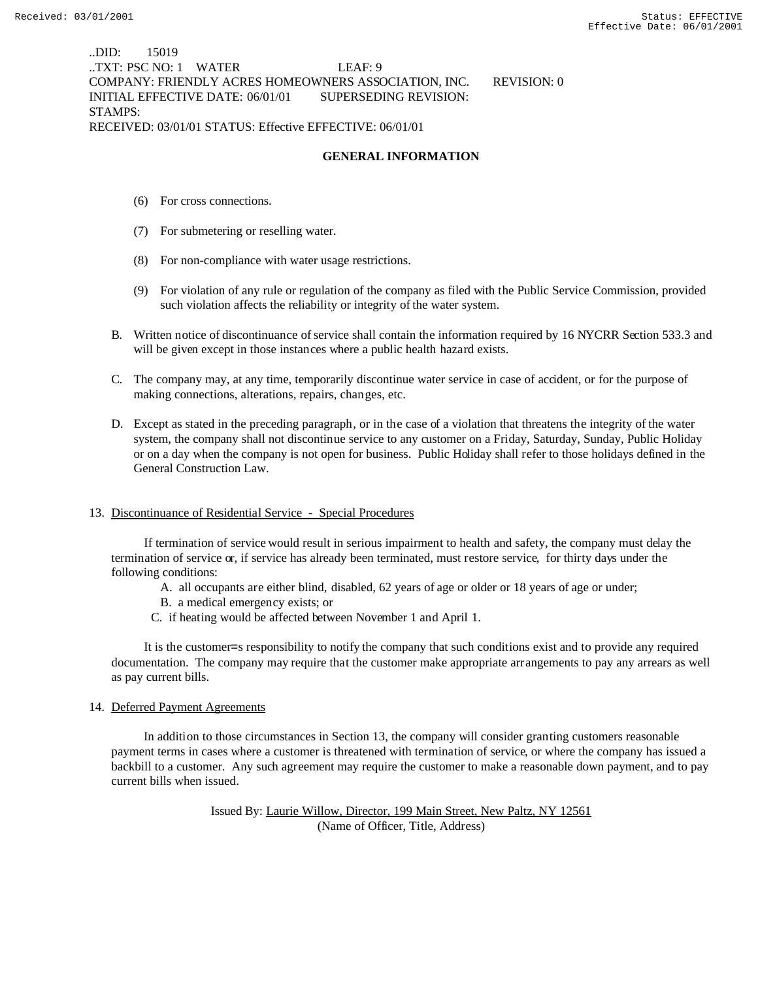..DID: 15019 ..TXT: PSC NO: 1 WATER LEAF: 9 COMPANY: FRIENDLY ACRES HOMEOWNERS ASSOCIATION, INC. REVISION: 0 INITIAL EFFECTIVE DATE: 06/01/01 SUPERSEDING REVISION: STAMPS: RECEIVED: 03/01/01 STATUS: Effective EFFECTIVE: 06/01/01

# **GENERAL INFORMATION**

- (6) For cross connections.
- (7) For submetering or reselling water.
- (8) For non-compliance with water usage restrictions.
- (9) For violation of any rule or regulation of the company as filed with the Public Service Commission, provided such violation affects the reliability or integrity of the water system.
- B. Written notice of discontinuance of service shall contain the information required by 16 NYCRR Section 533.3 and will be given except in those instances where a public health hazard exists.
- C. The company may, at any time, temporarily discontinue water service in case of accident, or for the purpose of making connections, alterations, repairs, changes, etc.
- D. Except as stated in the preceding paragraph, or in the case of a violation that threatens the integrity of the water system, the company shall not discontinue service to any customer on a Friday, Saturday, Sunday, Public Holiday or on a day when the company is not open for business. Public Holiday shall refer to those holidays defined in the General Construction Law.

## 13. Discontinuance of Residential Service - Special Procedures

 If termination of service would result in serious impairment to health and safety, the company must delay the termination of service or, if service has already been terminated, must restore service, for thirty days under the following conditions:

- A. all occupants are either blind, disabled, 62 years of age or older or 18 years of age or under;
- B. a medical emergency exists; or
- C. if heating would be affected between November 1 and April 1.

 It is the customer=s responsibility to notify the company that such conditions exist and to provide any required documentation. The company may require that the customer make appropriate arrangements to pay any arrears as well as pay current bills.

#### 14. Deferred Payment Agreements

 In addition to those circumstances in Section 13, the company will consider granting customers reasonable payment terms in cases where a customer is threatened with termination of service, or where the company has issued a backbill to a customer. Any such agreement may require the customer to make a reasonable down payment, and to pay current bills when issued.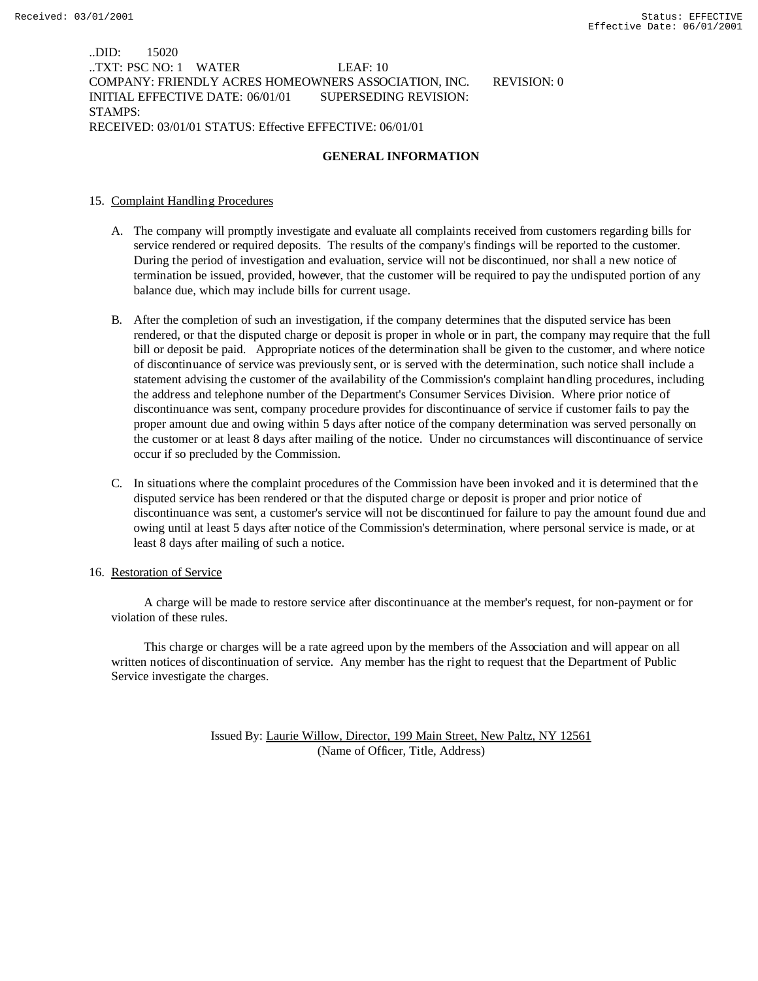..DID: 15020 ..TXT: PSC NO: 1 WATER LEAF: 10 COMPANY: FRIENDLY ACRES HOMEOWNERS ASSOCIATION, INC. REVISION: 0 INITIAL EFFECTIVE DATE: 06/01/01 SUPERSEDING REVISION: STAMPS: RECEIVED: 03/01/01 STATUS: Effective EFFECTIVE: 06/01/01

# **GENERAL INFORMATION**

## 15. Complaint Handling Procedures

- A. The company will promptly investigate and evaluate all complaints received from customers regarding bills for service rendered or required deposits. The results of the company's findings will be reported to the customer. During the period of investigation and evaluation, service will not be discontinued, nor shall a new notice of termination be issued, provided, however, that the customer will be required to pay the undisputed portion of any balance due, which may include bills for current usage.
- B. After the completion of such an investigation, if the company determines that the disputed service has been rendered, or that the disputed charge or deposit is proper in whole or in part, the company may require that the full bill or deposit be paid. Appropriate notices of the determination shall be given to the customer, and where notice of discontinuance of service was previously sent, or is served with the determination, such notice shall include a statement advising the customer of the availability of the Commission's complaint handling procedures, including the address and telephone number of the Department's Consumer Services Division. Where prior notice of discontinuance was sent, company procedure provides for discontinuance of service if customer fails to pay the proper amount due and owing within 5 days after notice of the company determination was served personally on the customer or at least 8 days after mailing of the notice. Under no circumstances will discontinuance of service occur if so precluded by the Commission.
- C. In situations where the complaint procedures of the Commission have been invoked and it is determined that the disputed service has been rendered or that the disputed charge or deposit is proper and prior notice of discontinuance was sent, a customer's service will not be discontinued for failure to pay the amount found due and owing until at least 5 days after notice of the Commission's determination, where personal service is made, or at least 8 days after mailing of such a notice.

#### 16. Restoration of Service

 A charge will be made to restore service after discontinuance at the member's request, for non-payment or for violation of these rules.

 This charge or charges will be a rate agreed upon by the members of the Association and will appear on all written notices of discontinuation of service. Any member has the right to request that the Department of Public Service investigate the charges.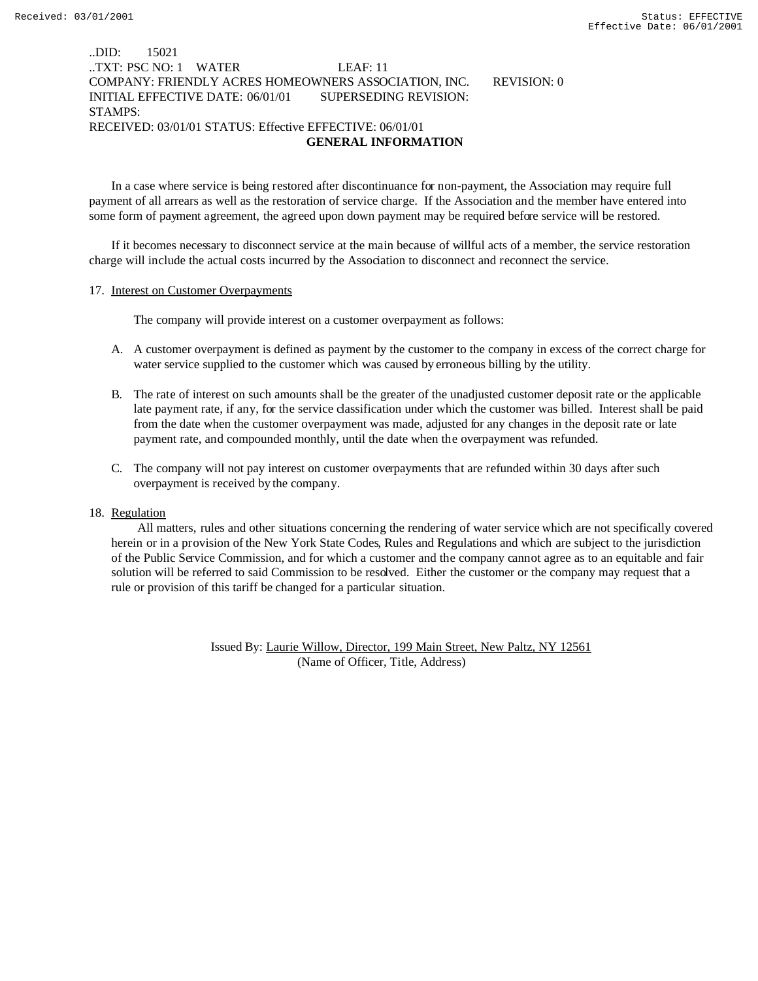## ..DID: 15021 ..TXT: PSC NO: 1 WATER LEAF: 11 COMPANY: FRIENDLY ACRES HOMEOWNERS ASSOCIATION, INC. REVISION: 0 INITIAL EFFECTIVE DATE: 06/01/01 SUPERSEDING REVISION: STAMPS: RECEIVED: 03/01/01 STATUS: Effective EFFECTIVE: 06/01/01  **GENERAL INFORMATION**

In a case where service is being restored after discontinuance for non-payment, the Association may require full payment of all arrears as well as the restoration of service charge. If the Association and the member have entered into some form of payment agreement, the agreed upon down payment may be required before service will be restored.

If it becomes necessary to disconnect service at the main because of willful acts of a member, the service restoration charge will include the actual costs incurred by the Association to disconnect and reconnect the service.

#### 17. Interest on Customer Overpayments

The company will provide interest on a customer overpayment as follows:

- A. A customer overpayment is defined as payment by the customer to the company in excess of the correct charge for water service supplied to the customer which was caused by erroneous billing by the utility.
- B. The rate of interest on such amounts shall be the greater of the unadjusted customer deposit rate or the applicable late payment rate, if any, for the service classification under which the customer was billed. Interest shall be paid from the date when the customer overpayment was made, adjusted for any changes in the deposit rate or late payment rate, and compounded monthly, until the date when the overpayment was refunded.
- C. The company will not pay interest on customer overpayments that are refunded within 30 days after such overpayment is received by the company.

#### 18. Regulation

 All matters, rules and other situations concerning the rendering of water service which are not specifically covered herein or in a provision of the New York State Codes, Rules and Regulations and which are subject to the jurisdiction of the Public Service Commission, and for which a customer and the company cannot agree as to an equitable and fair solution will be referred to said Commission to be resolved. Either the customer or the company may request that a rule or provision of this tariff be changed for a particular situation.